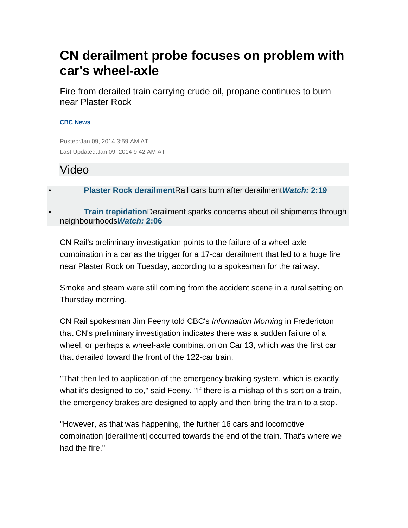# **CN derailment probe focuses on problem with car's wheel-axle**

Fire from derailed train carrying crude oil, propane continues to burn near Plaster Rock

#### **CBC News**

Posted:Jan 09, 2014 3:59 AM AT Last Updated:Jan 09, 2014 9:42 AM AT

## Video

• **Plaster Rock derailment**Rail cars burn after derailment**Watch: 2:19**

• **Train trepidation**Derailment sparks concerns about oil shipments through neighbourhoods**Watch: 2:06**

CN Rail's preliminary investigation points to the failure of a wheel-axle combination in a car as the trigger for a 17-car derailment that led to a huge fire near Plaster Rock on Tuesday, according to a spokesman for the railway.

Smoke and steam were still coming from the accident scene in a rural setting on Thursday morning.

CN Rail spokesman Jim Feeny told CBC's Information Morning in Fredericton that CN's preliminary investigation indicates there was a sudden failure of a wheel, or perhaps a wheel-axle combination on Car 13, which was the first car that derailed toward the front of the 122-car train.

"That then led to application of the emergency braking system, which is exactly what it's designed to do," said Feeny. "If there is a mishap of this sort on a train, the emergency brakes are designed to apply and then bring the train to a stop.

"However, as that was happening, the further 16 cars and locomotive combination [derailment] occurred towards the end of the train. That's where we had the fire."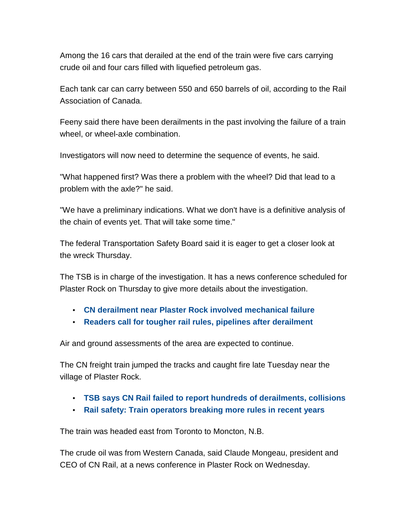Among the 16 cars that derailed at the end of the train were five cars carrying crude oil and four cars filled with liquefied petroleum gas.

Each tank car can carry between 550 and 650 barrels of oil, according to the Rail Association of Canada.

Feeny said there have been derailments in the past involving the failure of a train wheel, or wheel-axle combination.

Investigators will now need to determine the sequence of events, he said.

"What happened first? Was there a problem with the wheel? Did that lead to a problem with the axle?" he said.

"We have a preliminary indications. What we don't have is a definitive analysis of the chain of events yet. That will take some time."

The federal Transportation Safety Board said it is eager to get a closer look at the wreck Thursday.

The TSB is in charge of the investigation. It has a news conference scheduled for Plaster Rock on Thursday to give more details about the investigation.

- **CN derailment near Plaster Rock involved mechanical failure**
- **Readers call for tougher rail rules, pipelines after derailment**

Air and ground assessments of the area are expected to continue.

The CN freight train jumped the tracks and caught fire late Tuesday near the village of Plaster Rock.

- **TSB says CN Rail failed to report hundreds of derailments, collisions**
- **Rail safety: Train operators breaking more rules in recent years**

The train was headed east from Toronto to Moncton, N.B.

The crude oil was from Western Canada, said Claude Mongeau, president and CEO of CN Rail, at a news conference in Plaster Rock on Wednesday.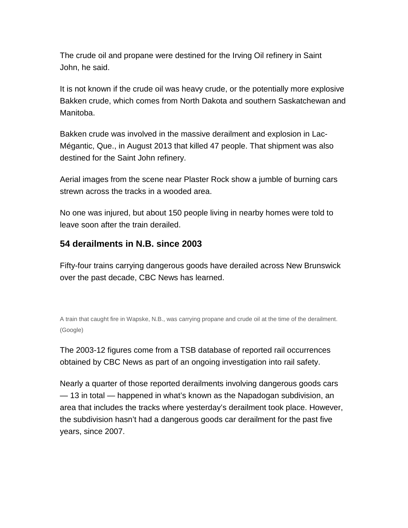The crude oil and propane were destined for the Irving Oil refinery in Saint John, he said.

It is not known if the crude oil was heavy crude, or the potentially more explosive Bakken crude, which comes from North Dakota and southern Saskatchewan and Manitoba.

Bakken crude was involved in the massive derailment and explosion in Lac-Mégantic, Que., in August 2013 that killed 47 people. That shipment was also destined for the Saint John refinery.

Aerial images from the scene near Plaster Rock show a jumble of burning cars strewn across the tracks in a wooded area.

No one was injured, but about 150 people living in nearby homes were told to leave soon after the train derailed.

### **54 derailments in N.B. since 2003**

Fifty-four trains carrying dangerous goods have derailed across New Brunswick over the past decade, CBC News has learned.

A train that caught fire in Wapske, N.B., was carrying propane and crude oil at the time of the derailment. (Google)

The 2003-12 figures come from a TSB database of reported rail occurrences obtained by CBC News as part of an ongoing investigation into rail safety.

Nearly a quarter of those reported derailments involving dangerous goods cars — 13 in total — happened in what's known as the Napadogan subdivision, an area that includes the tracks where yesterday's derailment took place. However, the subdivision hasn't had a dangerous goods car derailment for the past five years, since 2007.